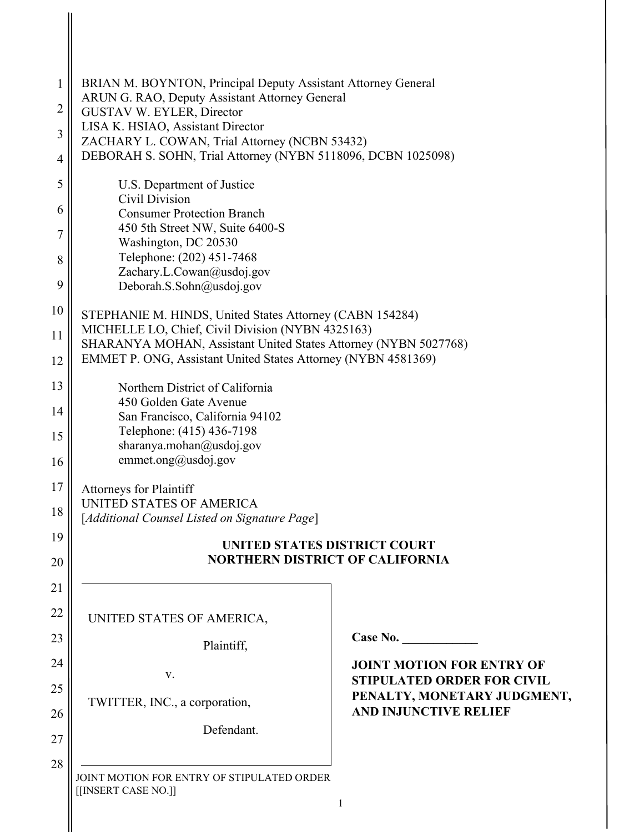| $\mathbf{1}$   | BRIAN M. BOYNTON, Principal Deputy Assistant Attorney General                                                        |                                                                  |  |
|----------------|----------------------------------------------------------------------------------------------------------------------|------------------------------------------------------------------|--|
| $\overline{2}$ | ARUN G. RAO, Deputy Assistant Attorney General<br>GUSTAV W. EYLER, Director                                          |                                                                  |  |
| 3              | LISA K. HSIAO, Assistant Director<br>ZACHARY L. COWAN, Trial Attorney (NCBN 53432)                                   |                                                                  |  |
| $\overline{4}$ | DEBORAH S. SOHN, Trial Attorney (NYBN 5118096, DCBN 1025098)                                                         |                                                                  |  |
| 5              | U.S. Department of Justice<br>Civil Division                                                                         |                                                                  |  |
| 6              | <b>Consumer Protection Branch</b>                                                                                    |                                                                  |  |
| 7              | 450 5th Street NW, Suite 6400-S<br>Washington, DC 20530                                                              |                                                                  |  |
| 8              | Telephone: (202) 451-7468<br>Zachary.L.Cowan@usdoj.gov                                                               |                                                                  |  |
| 9              | Deborah.S.Sohn@usdoj.gov                                                                                             |                                                                  |  |
| 10             | STEPHANIE M. HINDS, United States Attorney (CABN 154284)                                                             |                                                                  |  |
| 11             | MICHELLE LO, Chief, Civil Division (NYBN 4325163)<br>SHARANYA MOHAN, Assistant United States Attorney (NYBN 5027768) |                                                                  |  |
| 12             | EMMET P. ONG, Assistant United States Attorney (NYBN 4581369)                                                        |                                                                  |  |
| 13             | Northern District of California                                                                                      |                                                                  |  |
| 14             | 450 Golden Gate Avenue<br>San Francisco, California 94102                                                            |                                                                  |  |
| 15             | Telephone: (415) 436-7198                                                                                            |                                                                  |  |
| 16             | sharanya.mohan@usdoj.gov<br>emmet.ong@usdoj.gov                                                                      |                                                                  |  |
| 17             | <b>Attorneys for Plaintiff</b>                                                                                       |                                                                  |  |
| 18             | UNITED STATES OF AMERICA<br>[Additional Counsel Listed on Signature Page]                                            |                                                                  |  |
| 19             | UNITED STATES DISTRICT COURT                                                                                         |                                                                  |  |
| 20             | <b>NORTHERN DISTRICT OF CALIFORNIA</b>                                                                               |                                                                  |  |
| 21             |                                                                                                                      |                                                                  |  |
| 22             | UNITED STATES OF AMERICA,                                                                                            |                                                                  |  |
| 23             | Plaintiff,                                                                                                           | Case No. $\qquad \qquad$                                         |  |
| 24             | V.                                                                                                                   | <b>JOINT MOTION FOR ENTRY OF</b>                                 |  |
| 25             |                                                                                                                      | <b>STIPULATED ORDER FOR CIVIL</b><br>PENALTY, MONETARY JUDGMENT, |  |
| 26             | TWITTER, INC., a corporation,                                                                                        | <b>AND INJUNCTIVE RELIEF</b>                                     |  |
| 27             | Defendant.                                                                                                           |                                                                  |  |
| 28             | JOINT MOTION FOR ENTRY OF STIPULATED ORDER<br>[[INSERT CASE NO.]]<br>1                                               |                                                                  |  |

 $\parallel$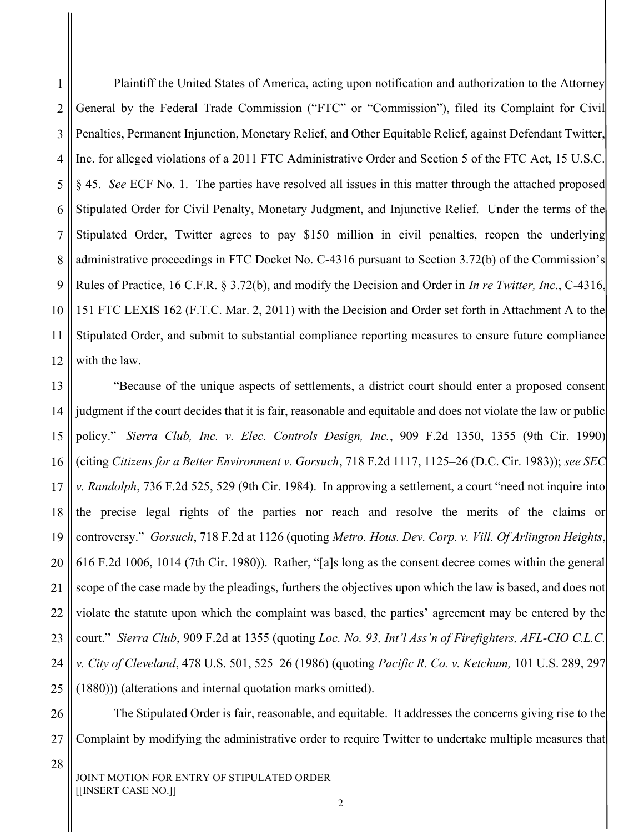Plaintiff the United States of America, acting upon notification and authorization to the Attorney General by the Federal Trade Commission ("FTC" or "Commission"), filed its Complaint for Civil Penalties, Permanent Injunction, Monetary Relief, and Other Equitable Relief, against Defendant Twitter, Inc. for alleged violations of a 2011 FTC Administrative Order and Section 5 of the FTC Act, 15 U.S.C. § 45. See ECF No. 1. The parties have resolved all issues in this matter through the attached proposed Stipulated Order for Civil Penalty, Monetary Judgment, and Injunctive Relief. Under the terms of the Stipulated Order, Twitter agrees to pay \$150 million in civil penalties, reopen the underlying administrative proceedings in FTC Docket No. C-4316 pursuant to Section 3.72(b) of the Commission's Rules of Practice, 16 C.F.R. § 3.72(b), and modify the Decision and Order in *In re Twitter, Inc.*, C-4316, 151 FTC LEXIS 162 (F.T.C. Mar. 2, 2011) with the Decision and Order set forth in Attachment A to the Stipulated Order, and submit to substantial compliance reporting measures to ensure future compliance with the law. 1 2 3 4 5 6 7 8 9 10 11 12

 "Because of the unique aspects of settlements, a district court should enter a proposed consent judgment if the court decides that it is fair, reasonable and equitable and does not violate the law or public policy." Sierra Club, Inc. v. Elec. Controls Design, Inc., 909 F.2d 1350, 1355 (9th Cir. 1990) (citing Citizens for a Better Environment v. Gorsuch, 718 F.2d 1117, 1125–26 (D.C. Cir. 1983)); see SEC v. Randolph, 736 F.2d 525, 529 (9th Cir. 1984). In approving a settlement, a court "need not inquire into the precise legal rights of the parties nor reach and resolve the merits of the claims or controversy." Gorsuch, 718 F.2d at 1126 (quoting Metro. Hous. Dev. Corp. v. Vill. Of Arlington Heights, 616 F.2d 1006, 1014 (7th Cir. 1980)). Rather, "[a]s long as the consent decree comes within the general scope of the case made by the pleadings, furthers the objectives upon which the law is based, and does not violate the statute upon which the complaint was based, the parties' agreement may be entered by the court." Sierra Club, 909 F.2d at 1355 (quoting Loc. No. 93, Int'l Ass'n of Firefighters, AFL-CIO C.L.C. v. City of Cleveland, 478 U.S. 501, 525–26 (1986) (quoting Pacific R. Co. v. Ketchum, 101 U.S. 289, 297 (1880))) (alterations and internal quotation marks omitted). 13 14 15 16 17 18 19 20 21 22 23 24 25

 The Stipulated Order is fair, reasonable, and equitable. It addresses the concerns giving rise to the Complaint by modifying the administrative order to require Twitter to undertake multiple measures that 26 27

28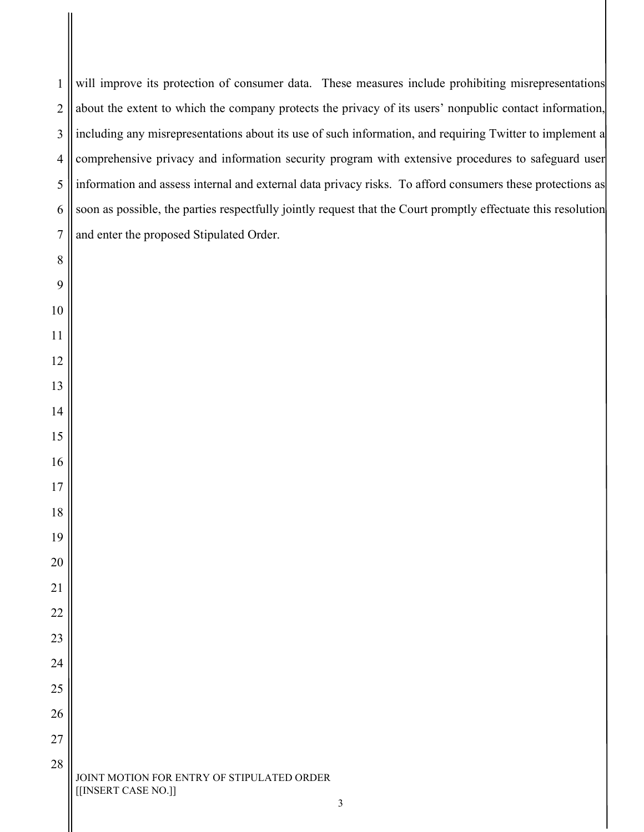will improve its protection of consumer data. These measures include prohibiting misrepresentations about the extent to which the company protects the privacy of its users' nonpublic contact information, including any misrepresentations about its use of such information, and requiring Twitter to implement a comprehensive privacy and information security program with extensive procedures to safeguard user information and assess internal and external data privacy risks. To afford consumers these protections as soon as possible, the parties respectfully jointly request that the Court promptly effectuate this resolution and enter the proposed Stipulated Order. 

 JOINT MOTION FOR ENTRY OF STIPULATED ORDER [[INSERT CASE NO.]]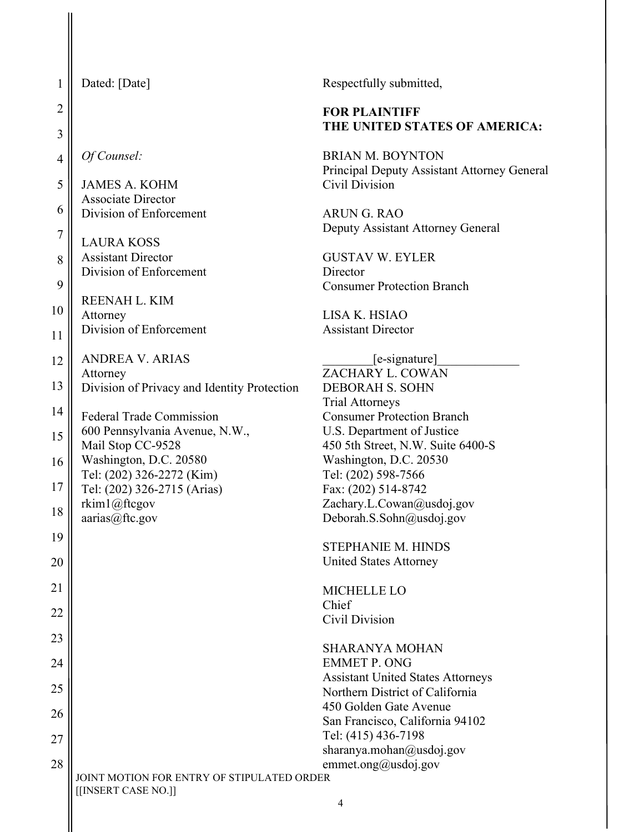| 1              | Dated: [Date]                                                     | Respectfully submitted,                                                |
|----------------|-------------------------------------------------------------------|------------------------------------------------------------------------|
| $\overline{2}$ |                                                                   | <b>FOR PLAINTIFF</b>                                                   |
| 3              |                                                                   | THE UNITED STATES OF AMERICA:                                          |
| $\overline{4}$ | Of Counsel:                                                       | <b>BRIAN M. BOYNTON</b><br>Principal Deputy Assistant Attorney General |
| 5              | <b>JAMES A. KOHM</b><br><b>Associate Director</b>                 | Civil Division                                                         |
| 6              | Division of Enforcement                                           | <b>ARUN G. RAO</b><br>Deputy Assistant Attorney General                |
| $\sqrt{ }$     | <b>LAURA KOSS</b>                                                 |                                                                        |
| 8              | <b>Assistant Director</b><br>Division of Enforcement              | <b>GUSTAV W. EYLER</b><br>Director                                     |
| 9              |                                                                   | <b>Consumer Protection Branch</b>                                      |
| 10             | REENAH L. KIM<br>Attorney                                         | LISA K. HSIAO                                                          |
| 11             | Division of Enforcement                                           | <b>Assistant Director</b>                                              |
| 12             | <b>ANDREA V. ARIAS</b>                                            | [e-signature]                                                          |
| 13             | Attorney<br>Division of Privacy and Identity Protection           | ZACHARY L. COWAN<br><b>DEBORAH S. SOHN</b>                             |
|                |                                                                   | <b>Trial Attorneys</b>                                                 |
| 14             | <b>Federal Trade Commission</b>                                   | <b>Consumer Protection Branch</b>                                      |
| 15             | 600 Pennsylvania Avenue, N.W.,<br>Mail Stop CC-9528               | U.S. Department of Justice<br>450 5th Street, N.W. Suite 6400-S        |
| 16             | Washington, D.C. 20580                                            | Washington, D.C. 20530                                                 |
| 17             | Tel: (202) 326-2272 (Kim)                                         | Tel: (202) 598-7566                                                    |
|                | Tel: (202) 326-2715 (Arias)<br>rkim1@ftcgov                       | Fax: (202) 514-8742<br>Zachary.L.Cowan@usdoj.gov                       |
| 18             | aarias@ftc.gov                                                    | Deborah.S.Sohn@usdoj.gov                                               |
| 19             |                                                                   |                                                                        |
| 20             |                                                                   | STEPHANIE M. HINDS<br><b>United States Attorney</b>                    |
| 21             |                                                                   | <b>MICHELLE LO</b>                                                     |
| 22             |                                                                   | Chief                                                                  |
|                |                                                                   | Civil Division                                                         |
| 23             |                                                                   | <b>SHARANYA MOHAN</b>                                                  |
| 24             |                                                                   | <b>EMMET P. ONG</b><br><b>Assistant United States Attorneys</b>        |
| 25             |                                                                   | Northern District of California                                        |
| 26             |                                                                   | 450 Golden Gate Avenue                                                 |
|                |                                                                   | San Francisco, California 94102<br>Tel: (415) 436-7198                 |
| 27             |                                                                   | sharanya.mohan@usdoj.gov                                               |
| 28             |                                                                   | emmet.ong@usdoj.gov                                                    |
|                | JOINT MOTION FOR ENTRY OF STIPULATED ORDER<br>[[INSERT CASE NO.]] |                                                                        |
|                |                                                                   | $\overline{4}$                                                         |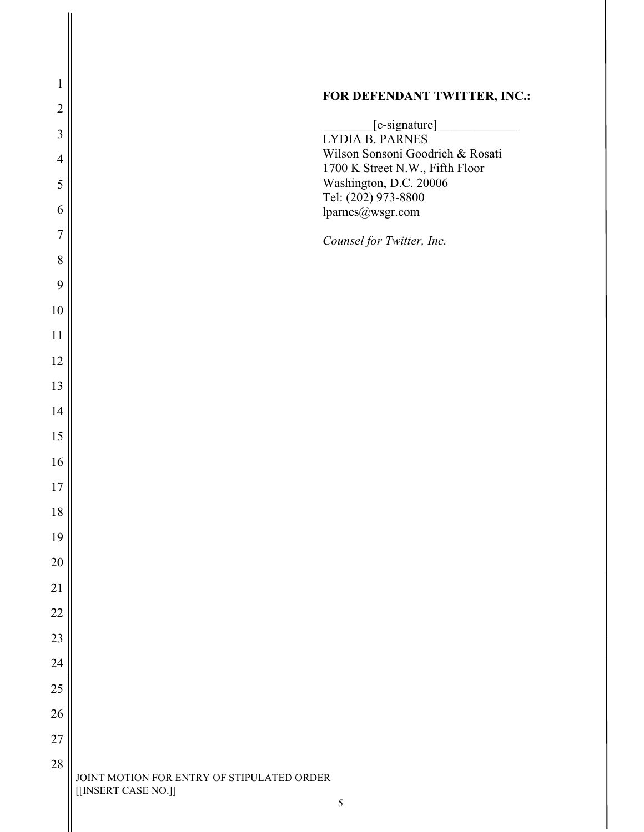